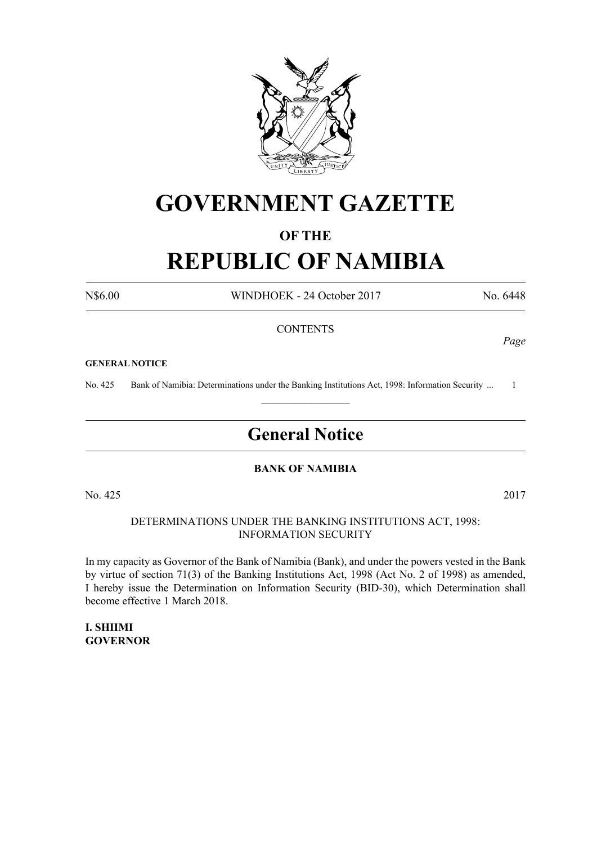

# **GOVERNMENT GAZETTE**

# **OF THE**

# **REPUBLIC OF NAMIBIA**

N\$6.00 WINDHOEK - 24 October 2017 No. 6448

*Page*

#### **CONTENTS**

#### **GENERAL NOTICE**

No. 425 Bank of Namibia: Determinations under the Banking Institutions Act, 1998: Information Security ... 1  $\frac{1}{2}$ 

# **General Notice**

# **BANK OF NAMIBIA**

No. 425 2017

DETERMINATIONS UNDER THE BANKING INSTITUTIONS ACT, 1998: INFORMATION SECURITY

In my capacity as Governor of the Bank of Namibia (Bank), and under the powers vested in the Bank by virtue of section 71(3) of the Banking Institutions Act, 1998 (Act No. 2 of 1998) as amended, I hereby issue the Determination on Information Security (BID-30), which Determination shall become effective 1 March 2018.

**I. SHIIMI GOVERNOR**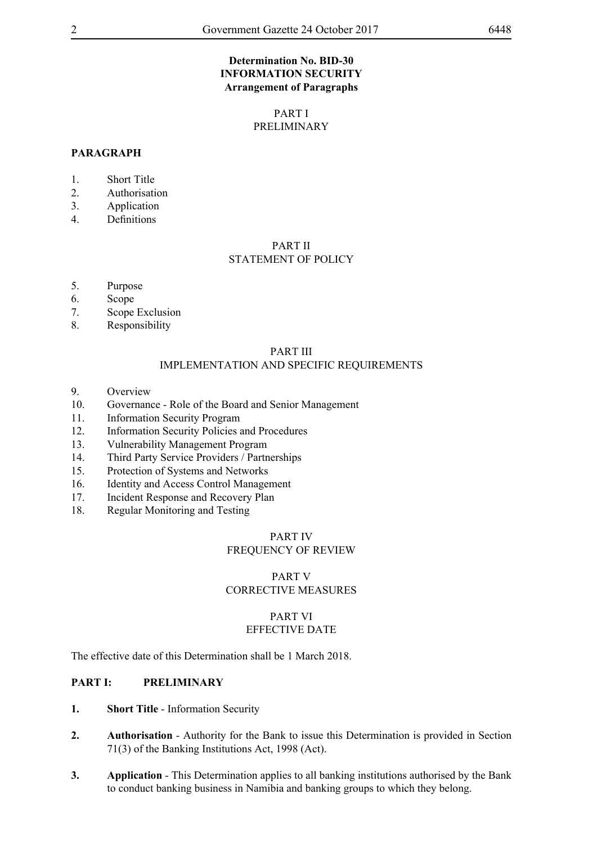# **Determination No. BID-30 INFORMATION SECURITY Arrangement of Paragraphs**

# PART I PRELIMINARY

# **PARAGRAPH**

- 1. Short Title
- 2. Authorisation
- 3. Application
- 4. Definitions

#### PART II STATEMENT OF POLICY

- 5. Purpose
- 6. Scope
- 7. Scope Exclusion
- 8. Responsibility

#### PART III IMPLEMENTATION AND SPECIFIC REQUIREMENTS

- 9. Overview
- 10. Governance Role of the Board and Senior Management
- 11. Information Security Program
- 12. Information Security Policies and Procedures
- 13. Vulnerability Management Program
- 14. Third Party Service Providers / Partnerships
- 15. Protection of Systems and Networks
- 16. Identity and Access Control Management
- 17. Incident Response and Recovery Plan
- 18. Regular Monitoring and Testing

# PART IV FREQUENCY OF REVIEW

# PART V CORRECTIVE MEASURES

## PART VI EFFECTIVE DATE

The effective date of this Determination shall be 1 March 2018.

# **PART I: PRELIMINARY**

- **1. Short Title** Information Security
- **2. Authorisation** Authority for the Bank to issue this Determination is provided in Section 71(3) of the Banking Institutions Act, 1998 (Act).
- **3. Application**  This Determination applies to all banking institutions authorised by the Bank to conduct banking business in Namibia and banking groups to which they belong.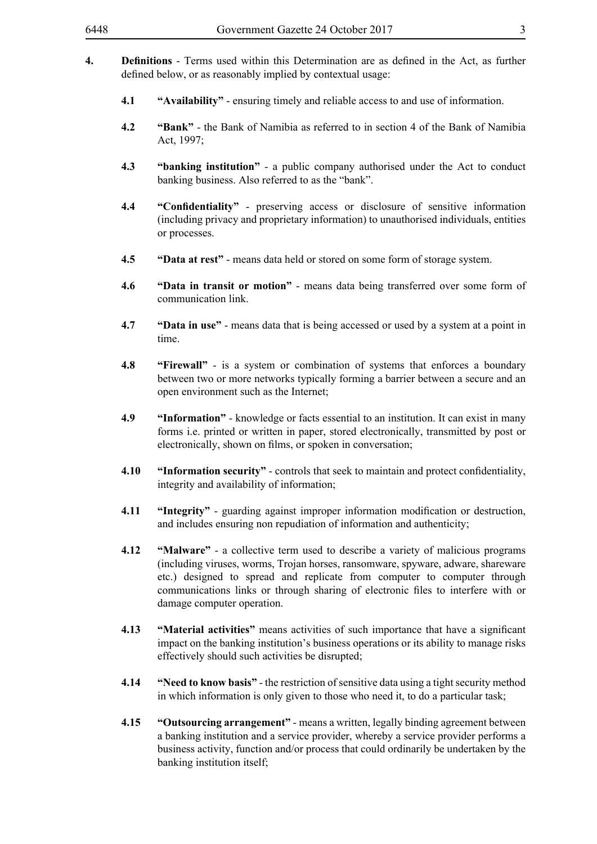- **4. Definitions** Terms used within this Determination are as defined in the Act, as further defined below, or as reasonably implied by contextual usage:
	- **4.1 "Availability"**  ensuring timely and reliable access to and use of information.
	- **4.2 "Bank"**  the Bank of Namibia as referred to in section 4 of the Bank of Namibia Act, 1997;
	- **4.3 "banking institution"** a public company authorised under the Act to conduct banking business. Also referred to as the "bank".
	- **4.4 "Confidentiality"** preserving access or disclosure of sensitive information (including privacy and proprietary information) to unauthorised individuals, entities or processes.
	- **4.5 "Data at rest"**  means data held or stored on some form of storage system.
	- **4.6 "Data in transit or motion"** means data being transferred over some form of communication link.
	- **4.7 "Data in use"** means data that is being accessed or used by a system at a point in time.
	- **4.8 "Firewall"**  is a system or combination of systems that enforces a boundary between two or more networks typically forming a barrier between a secure and an open environment such as the Internet;
	- **4.9 "Information"**  knowledge or facts essential to an institution. It can exist in many forms i.e. printed or written in paper, stored electronically, transmitted by post or electronically, shown on films, or spoken in conversation;
	- **4.10 "Information security"** controls that seek to maintain and protect confidentiality, integrity and availability of information;
	- **4.11 "Integrity"**  guarding against improper information modification or destruction, and includes ensuring non repudiation of information and authenticity;
	- **4.12 "Malware"**  a collective term used to describe a variety of malicious programs (including viruses, worms, Trojan horses, ransomware, spyware, adware, shareware etc.) designed to spread and replicate from computer to computer through communications links or through sharing of electronic files to interfere with or damage computer operation.
	- **4.13 "Material activities"** means activities of such importance that have a significant impact on the banking institution's business operations or its ability to manage risks effectively should such activities be disrupted;
	- **4.14 "Need to know basis"** the restriction of sensitive data using a tight security method in which information is only given to those who need it, to do a particular task;
	- **4.15 "Outsourcing arrangement"** means a written, legally binding agreement between a banking institution and a service provider, whereby a service provider performs a business activity, function and/or process that could ordinarily be undertaken by the banking institution itself;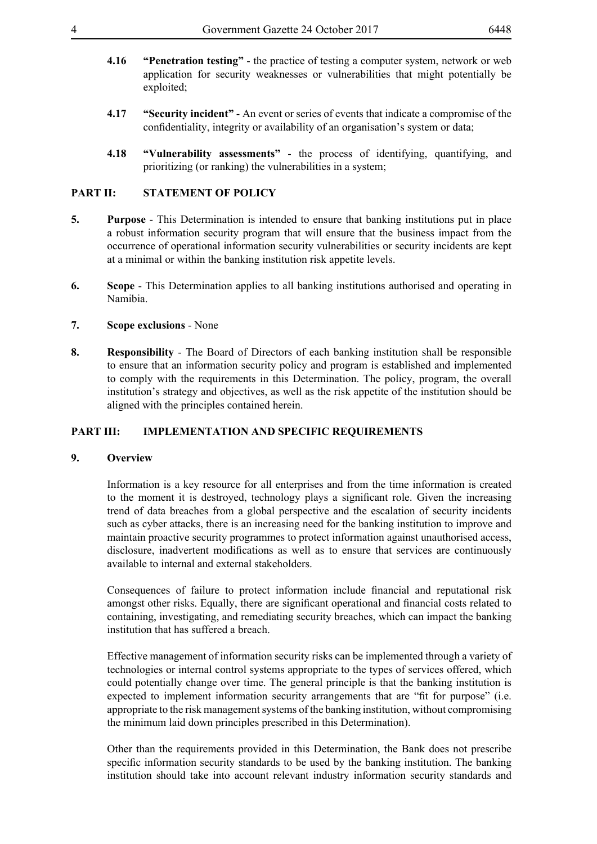- **4.16 "Penetration testing"**  the practice of testing a computer system, network or web application for security weaknesses or vulnerabilities that might potentially be exploited;
- **4.17 "Security incident"** An event or series of events that indicate a compromise of the confidentiality, integrity or availability of an organisation's system or data;
- **4.18 "Vulnerability assessments"** the process of identifying, quantifying, and prioritizing (or ranking) the vulnerabilities in a system;

# **PART II: STATEMENT OF POLICY**

- **5. Purpose** This Determination is intended to ensure that banking institutions put in place a robust information security program that will ensure that the business impact from the occurrence of operational information security vulnerabilities or security incidents are kept at a minimal or within the banking institution risk appetite levels.
- **6. Scope** This Determination applies to all banking institutions authorised and operating in Namibia.
- **7. Scope exclusions** None
- **8. Responsibility** The Board of Directors of each banking institution shall be responsible to ensure that an information security policy and program is established and implemented to comply with the requirements in this Determination. The policy, program, the overall institution's strategy and objectives, as well as the risk appetite of the institution should be aligned with the principles contained herein.

#### **PART III: IMPLEMENTATION AND SPECIFIC REQUIREMENTS**

# **9. Overview**

Information is a key resource for all enterprises and from the time information is created to the moment it is destroyed, technology plays a significant role. Given the increasing trend of data breaches from a global perspective and the escalation of security incidents such as cyber attacks, there is an increasing need for the banking institution to improve and maintain proactive security programmes to protect information against unauthorised access, disclosure, inadvertent modifications as well as to ensure that services are continuously available to internal and external stakeholders.

Consequences of failure to protect information include financial and reputational risk amongst other risks. Equally, there are significant operational and financial costs related to containing, investigating, and remediating security breaches, which can impact the banking institution that has suffered a breach.

Effective management of information security risks can be implemented through a variety of technologies or internal control systems appropriate to the types of services offered, which could potentially change over time. The general principle is that the banking institution is expected to implement information security arrangements that are "fit for purpose" (i.e. appropriate to the risk management systems of the banking institution, without compromising the minimum laid down principles prescribed in this Determination).

Other than the requirements provided in this Determination, the Bank does not prescribe specific information security standards to be used by the banking institution. The banking institution should take into account relevant industry information security standards and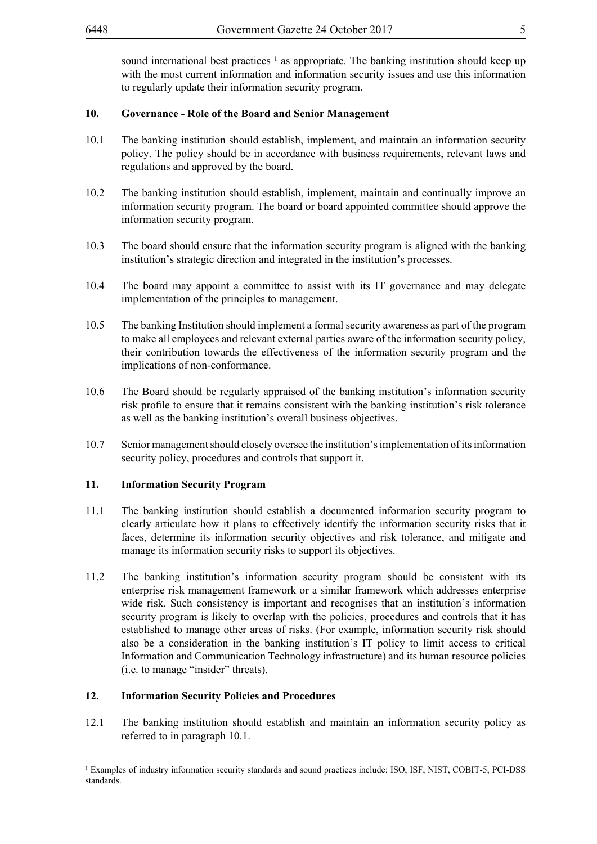sound international best practices  $\frac{1}{1}$  as appropriate. The banking institution should keep up with the most current information and information security issues and use this information to regularly update their information security program.

# **10. Governance - Role of the Board and Senior Management**

- 10.1 The banking institution should establish, implement, and maintain an information security policy. The policy should be in accordance with business requirements, relevant laws and regulations and approved by the board.
- 10.2 The banking institution should establish, implement, maintain and continually improve an information security program. The board or board appointed committee should approve the information security program.
- 10.3 The board should ensure that the information security program is aligned with the banking institution's strategic direction and integrated in the institution's processes.
- 10.4 The board may appoint a committee to assist with its IT governance and may delegate implementation of the principles to management.
- 10.5 The banking Institution should implement a formal security awareness as part of the program to make all employees and relevant external parties aware of the information security policy, their contribution towards the effectiveness of the information security program and the implications of non-conformance.
- 10.6 The Board should be regularly appraised of the banking institution's information security risk profile to ensure that it remains consistent with the banking institution's risk tolerance as well as the banking institution's overall business objectives.
- 10.7 Senior management should closely oversee the institution's implementation of its information security policy, procedures and controls that support it.

#### **11. Information Security Program**

- 11.1 The banking institution should establish a documented information security program to clearly articulate how it plans to effectively identify the information security risks that it faces, determine its information security objectives and risk tolerance, and mitigate and manage its information security risks to support its objectives.
- 11.2 The banking institution's information security program should be consistent with its enterprise risk management framework or a similar framework which addresses enterprise wide risk. Such consistency is important and recognises that an institution's information security program is likely to overlap with the policies, procedures and controls that it has established to manage other areas of risks. (For example, information security risk should also be a consideration in the banking institution's IT policy to limit access to critical Information and Communication Technology infrastructure) and its human resource policies (i.e. to manage "insider" threats).

#### **12. Information Security Policies and Procedures**

12.1 The banking institution should establish and maintain an information security policy as referred to in paragraph 10.1.

<sup>1</sup> Examples of industry information security standards and sound practices include: ISO, ISF, NIST, COBIT-5, PCI-DSS standards.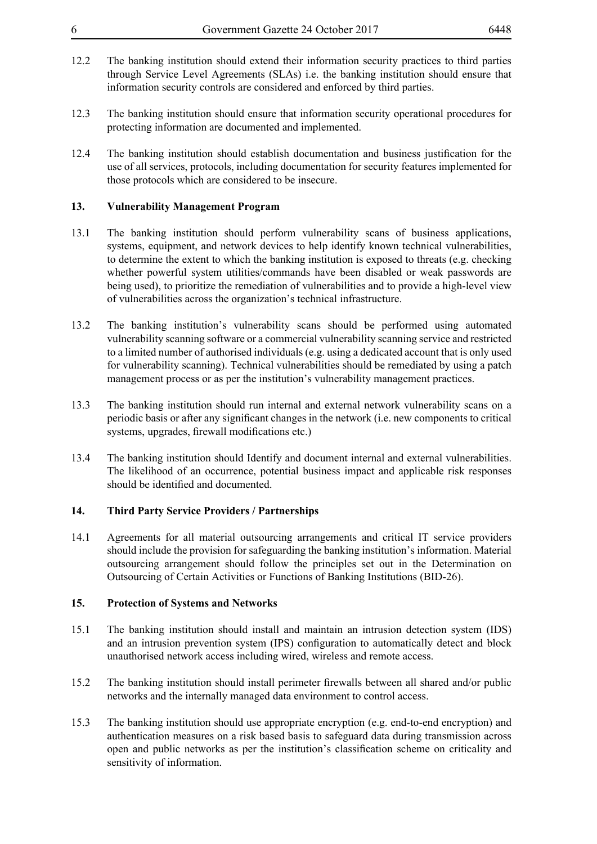- 12.2 The banking institution should extend their information security practices to third parties through Service Level Agreements (SLAs) i.e. the banking institution should ensure that information security controls are considered and enforced by third parties.
- 12.3 The banking institution should ensure that information security operational procedures for protecting information are documented and implemented.
- 12.4 The banking institution should establish documentation and business justification for the use of all services, protocols, including documentation for security features implemented for those protocols which are considered to be insecure.

# **13. Vulnerability Management Program**

- 13.1 The banking institution should perform vulnerability scans of business applications, systems, equipment, and network devices to help identify known technical vulnerabilities, to determine the extent to which the banking institution is exposed to threats (e.g. checking whether powerful system utilities/commands have been disabled or weak passwords are being used), to prioritize the remediation of vulnerabilities and to provide a high-level view of vulnerabilities across the organization's technical infrastructure.
- 13.2 The banking institution's vulnerability scans should be performed using automated vulnerability scanning software or a commercial vulnerability scanning service and restricted to a limited number of authorised individuals (e.g. using a dedicated account that is only used for vulnerability scanning). Technical vulnerabilities should be remediated by using a patch management process or as per the institution's vulnerability management practices.
- 13.3 The banking institution should run internal and external network vulnerability scans on a periodic basis or after any significant changes in the network (i.e. new components to critical systems, upgrades, firewall modifications etc.)
- 13.4 The banking institution should Identify and document internal and external vulnerabilities. The likelihood of an occurrence, potential business impact and applicable risk responses should be identified and documented.

# **14. Third Party Service Providers / Partnerships**

14.1 Agreements for all material outsourcing arrangements and critical IT service providers should include the provision for safeguarding the banking institution's information. Material outsourcing arrangement should follow the principles set out in the Determination on Outsourcing of Certain Activities or Functions of Banking Institutions (BID-26).

#### **15. Protection of Systems and Networks**

- 15.1 The banking institution should install and maintain an intrusion detection system (IDS) and an intrusion prevention system (IPS) configuration to automatically detect and block unauthorised network access including wired, wireless and remote access.
- 15.2 The banking institution should install perimeter firewalls between all shared and/or public networks and the internally managed data environment to control access.
- 15.3 The banking institution should use appropriate encryption (e.g. end-to-end encryption) and authentication measures on a risk based basis to safeguard data during transmission across open and public networks as per the institution's classification scheme on criticality and sensitivity of information.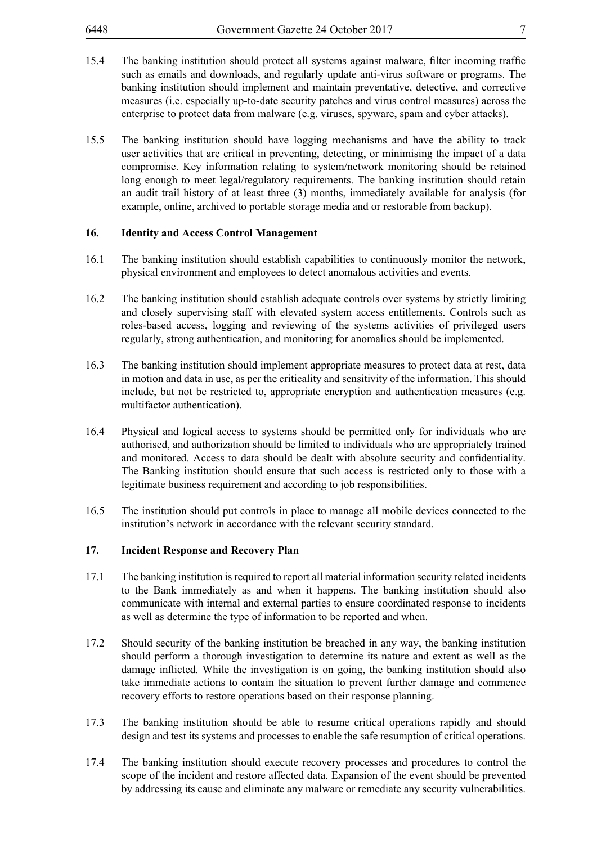- 
- 15.4 The banking institution should protect all systems against malware, filter incoming traffic such as emails and downloads, and regularly update anti-virus software or programs. The banking institution should implement and maintain preventative, detective, and corrective measures (i.e. especially up-to-date security patches and virus control measures) across the enterprise to protect data from malware (e.g. viruses, spyware, spam and cyber attacks).
- 15.5 The banking institution should have logging mechanisms and have the ability to track user activities that are critical in preventing, detecting, or minimising the impact of a data compromise. Key information relating to system/network monitoring should be retained long enough to meet legal/regulatory requirements. The banking institution should retain an audit trail history of at least three (3) months, immediately available for analysis (for example, online, archived to portable storage media and or restorable from backup).

#### **16. Identity and Access Control Management**

- 16.1 The banking institution should establish capabilities to continuously monitor the network, physical environment and employees to detect anomalous activities and events.
- 16.2 The banking institution should establish adequate controls over systems by strictly limiting and closely supervising staff with elevated system access entitlements. Controls such as roles-based access, logging and reviewing of the systems activities of privileged users regularly, strong authentication, and monitoring for anomalies should be implemented.
- 16.3 The banking institution should implement appropriate measures to protect data at rest, data in motion and data in use, as per the criticality and sensitivity of the information. This should include, but not be restricted to, appropriate encryption and authentication measures (e.g. multifactor authentication).
- 16.4 Physical and logical access to systems should be permitted only for individuals who are authorised, and authorization should be limited to individuals who are appropriately trained and monitored. Access to data should be dealt with absolute security and confidentiality. The Banking institution should ensure that such access is restricted only to those with a legitimate business requirement and according to job responsibilities.
- 16.5 The institution should put controls in place to manage all mobile devices connected to the institution's network in accordance with the relevant security standard.

#### **17. Incident Response and Recovery Plan**

- 17.1 The banking institution is required to report all material information security related incidents to the Bank immediately as and when it happens. The banking institution should also communicate with internal and external parties to ensure coordinated response to incidents as well as determine the type of information to be reported and when.
- 17.2 Should security of the banking institution be breached in any way, the banking institution should perform a thorough investigation to determine its nature and extent as well as the damage inflicted. While the investigation is on going, the banking institution should also take immediate actions to contain the situation to prevent further damage and commence recovery efforts to restore operations based on their response planning.
- 17.3 The banking institution should be able to resume critical operations rapidly and should design and test its systems and processes to enable the safe resumption of critical operations.
- 17.4 The banking institution should execute recovery processes and procedures to control the scope of the incident and restore affected data. Expansion of the event should be prevented by addressing its cause and eliminate any malware or remediate any security vulnerabilities.